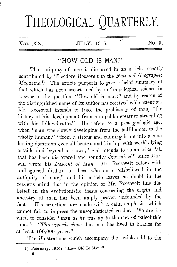# THEOLOGICAL QUARTERLY.

| Vol. | xz.<br>$\Lambda\Lambda$ . |
|------|---------------------------|
|------|---------------------------|

## $JULY$ , 1916.  $N<sub>0.3</sub>$

## "HOW OLD IS MAN?" \

The antiquity of man is discussed in an article recently contributed by Theodore Roosevelt to the *National Geographic Magazine.*<sup>1</sup>) The article purports to give a brief summary of that which has been ascertained by anthropological science in answer to the question, "How old is man?" and by reason of the distinguished name of its author has received wide attention. Mr. Roosevelt intends to trace the prehistory of man, "the history of his development from an apelike creature struggling with his fellow-brutes." He refers to a past geologic age, when "man was slowly developing from the half-human to the wholly human," "from a strong and cunning brute into a man having dominion over all brutes, and kinship with worlds lying outside and beyond our own," and intends to summarize "all that has been discovered and soundly determined" since Darwin wrote his *Descent of Man*. Mr. Roosevelt refers with undisguised disdain to those who once "disbelieved in the antiquity of man," and his article leaves no doubt in the reader's mind that in the opinion of Mr. Roosevelt this disbelief in the evolutionistic thesis concerning the origin and ancestry of man has been amply proven unfounded by the facts. His assertions are made with a calm emphasis, which cannot fail to impress the unsophisticated reader. We are invited to consider "man *as he was* up to the end of paleolithic times." *"The records show* that man bas lived in France for at least 100,000 years."

The illustrations which accompany the article add to the

9

<sup>1)</sup> February, 1916: "How Old Is Man?"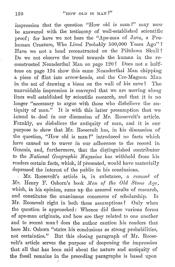impression that the question "How old is man?" may now be answered with the testimony of well-established scientific proof; for have we not here the "Ape-man of Java, a Prehuman Creature, Who Lived Probably 500,000 Years Ago"? Have we not a head reconstructed on the Piltdown Skull ? Do we not observe the trend towards the human in the reconstructed Neanderthal Man on page 120? Does not a halftone on page 124 show this same Neanderthal Man chipping a piece of flint into arrow-heads, and the Cro-Magnon Man in the act of drawing a bison on the wall of his cave ? The unavoidable impression is conveyed that we are moviug along lines well established by scientific research, and that it is no longer "necessary to argue with those who disbelieve the antiquity of man." It is with this latter presumption that we intend to. deal in our discussion of Mr. Roosevelt's article. Frankly, *we disbelieve* the antiquity of man, and it is our purpose to show that Mr. Roosevelt has, in his discussion of the question, "How old is man?" introduced no facts which have caused us to waver in our adherence to the record in Genesis, and, furthermore, that the distinguished contributor to the *National Geographic Magazine* has withheld from his readers certain facts, which, if presented, would have materially depressed the interest of the public in his conclusions.

, Mr. Roosevelt's article is, in substance, a *reswne* of Mr. Henry F. Osborn's book *Men of the Old Stone Age*, which, in his opinion, sums up the assured results of research, and constitutes the unanimous consensus of scholarship. Is Mr. Roosevelt right in both these assumptions? Only when the question is approached: Whence did· these various forms of ape-man originate, and how are they related to one another and to recent man? does the author caution his readers that here Mr. Osborn "states his conclusions as strong probabilities, not certainties." But this closing paragraph of Mr. Roosevelt's article serves the purpose of deepening the impression that all that has been said about the nature and antiquity of the fossil remains in the preceding paragraphs is based upon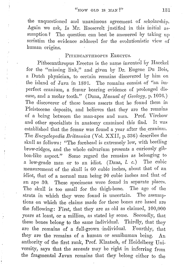the unquestioned and unanimous agreement of scholarship. Again we ask, Is Mr. Roosevelt justified in this initial assumption? The question can best be answered by taking up soriatim the evidence adduced for the evolutionistic view of human origins.

### PITHECANTHROPUS ERECTUS.

 $\begin{array}{c} \mathcal{F} \\ \mathcal{F} \\ \mathcal{F} \end{array}$ 

Pithecanthropus Erectus is the name invented by Haeckel for the "missing link," and given by Dr. Eugene Du Bois, a Dutch physician, to certain remains discovered by him on the island of Java in 1891. The remains consist of "an imperfect cranium, a femur bearing evidence of prolonged disease, and a molar tooth." (Dana, *Manual of Geology,* p.103G.) The discoverer of these bones asserts that he found them in Pleistocene deposits, and believes that they are the remains of a being between the man-apes and man. Prof. Virchow and other specialists in anatomy examined this find. It was established that the femur was found a year after the cranium. Tho *Encyclopedia Britannica* (Vol. **XXII,** p. 33G) describes tho skull as follows: "Tho forehead is extremely low, with beetling brow-ridges, and the whole calvarium presents a curiously gibbon-like aspect." Some regard the remains as belonging to a low-grade man or to an idiot. (Dana,  $l \cdot c$ .) The cubic measurement of the skull is GO cubic inches, about that of an idiot, that of a normal man being 90 cubic inches and that of an ape 30. These specimens were found in separate places. Tho skull is too small for the thigh-bone. The age of tho strata in which they were found is uncertain. The assumptions on which the claims made for these bones arc based are the following: First, that they are as old as claimed, 100,000 years at least, or a million, as stated by some. Secondly, that these bones belong to the same individual. Thirdly, that they are the remains of a full-grown individual. Fourthly, that they are the remains of a human or semihuman being. An anthority of the first rank, Prof. Klaatsch, of Heidelberg University, says that the *savants* may he right in inferring from the fragmental Javan remains that they belong either to the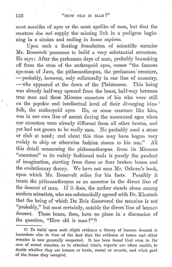most manlike of apes or the most apelike of men, but that the creature doe *not* supply the· missing link in a pedigree begin- . ning in a simian and ending in *homo sapiens*.

Upon such a floating foundation. of scientific surmise Mr. Roosevelt presumes to build a very substantial structure. He says: After the prehuman days of man, probably branching off from the stem of tho anthropoid apes, comes "the famous ape-man of Java, the pithecanthropus, the prehuman' creature, - probably, however, only collaterally in our line of ancestry, - who appeared at the dawn of the Pleistocene. This being was already half-way upward from the beast, half-way between true man and those Miocene ancestors of his who were still on the psychic and intellectual level of their diverging kins-· folk, the anthropoid apes. He, or some creature like him, was in our own line of ascent during the uncounted ages when our ancestors were already different from all other brutes, and yet had not grown to be really men. He probably used a stone or club at need; and ab6nt this time may have begun very rudely to chip or otherwise fashion stones to his use." All this detail concerning the pithecanthropus from its Miocene "ancestors" to its rudely fashioned tools is purely the product of imagination, starting from three or four broken bones and the evolutionary theory. We have not seen Mr. Osborn's book, upon which Mr. Roosevelt relies for his facts. Possibly it treats the pithecanthropus as an ancestor in tho direct line of the descent of man. If it does, the author stands alone among modern scientists, who arc substantially agreed with Dr. Klaatsch that the being of which Du Bois discovered tho remains is not "probably," but most certainly, outside the direct line of human descent. These bones, then, have no place in a discussion of the question, "How old is man?"<sup>2)</sup>

<sup>2)</sup> To build upon such slight evidence a theory of human descent is hazardous also in view of the fact that the evidence of bones and other remains is now generally suspected. It has been found that even in the case of recent remains, as in criminal trials, experts are often unable to decide whether they are human or brute, recent or remote, and what part of the frame they occupied.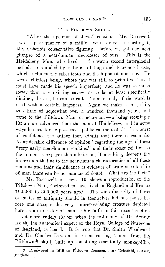#### THE PILTDOWN SKULL.

"After tho ape-man of Java," continues Mr. Roosevelt, "we skip a quarter of a million years or so - according to Mr. Osborn's conservative figuring- before we get our next glimpse of a near-human predecessor of ours. This is the Heidelberg Man, who lived in the warm second interglacial period, surrounded by a fauna of huge and fearsome beasts, which included the saber-tooth and the hippopotamus, etc. He was a chinless being, whose jaw was still so primitive that it must have made his speech imperfect; and he was so much lower than any existing savage as to be at least specifically distinct, that is, he can be called 'human' only if the word is used with a certain largeness. Again we make a long skip, this time of somewhat over a hundred thousand years, and come to the Piltdown Man, or near-man- a being seemingly little more advanced than the man of Heidelberg, and in some ways less so, for he possessed apelike canine teeth." In a burst of confidence the author then admits that there is room for "considerable difference of opinion" regarding tho age of these "very early near-human remains," and their exact relation to the human race; yet this admission, if anything, deepens tho impression that as to the near-human characteristics of all these remains and their significance as evidence of brute ancestorship of man there can be no manner of doubt. What are the facts?

Mr. Roosevelt, on page 119, shows a reproduction of the Piltdown Man, "believed to have lived in England and Franco 100,000 to 300,000 years ago." The wide disparity of these estimates of antiquity should in themselves bid one pause before one accepts the very unprepossessing creature depicted here as an ancestor of man. Our faith in this reconstruction is yet more rudely shaken when the testimony of Dr. Arthur Keith, the anatomical expert of the Royal College of Surgeons of England, is heard. It is true that Dr. Smith Woodward and Dr. Charles Dawson, in reconstructing a man from the Piltdown<sup>3</sup> skull, built up something essentially monkey-like,

<sup>3)</sup> Discovered in 1912 on Piltdown Common, near Ucksfield, Sussex, England.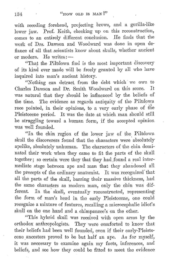with receding forehead, projecting brows, and a gorilla-like lower jaw. Prof. Keith, checking up on this reconstruction, comes to an entirely different conclusion. He finds that the work of Drs. Dawson and Woodward was done in open defiance of all that .scientists know about skulls, whether ancient or modern. He writes: -

"That the Piltdown find is the most important discovery of its kind ever made will be freely granted by all who have inquired into man's ancient history.

"Nothing can detract from the debt which we owe to Charles Dawson and Dr. Smith Woodward on this score. It was natural that they should be influenced by the beliefs of the time. The evidence as regards antiquity of the Piltdown The evidence as regards antiquity of the Piltdown race pointed, in their opinions, to a very early phase of the Pleistocene period. It was the date at which man should still be struggling toward a human form, if the accepted opinion was well founded.

"In the chin region of the lower jaw of the Piltdown skull the discoverers found that the characters were absolutely apelike, absolutely unhuman. The characters of the chin dominated their work when they came to fit the parts of the skull together; so certain were they that they had found a real intermediate stage between ape and man that they abandoned all the precepts of the ordinary anatomist. It was recognized that all the parts of the skull, barring their massive thickness, had the same characters as modern man, only the chin was different. In the skull, eventually reconstructed, representing the form of man's head in the early Pleistocene, one could recognize a mixture of features, recalling a microcephalic idiot's skull on the one hand and a chimpanzee's on the other.

"This hybrid skull was received with open arms by the orthodox anthropologists. They were comforted to know that their beliefs had been well founded, even if their early-Pleistocene ancestors proved to be but half an ape. As for myself, it was necessary to examine again my facts, inferences, and beliefs, and see how they could be fitted to meet the evidence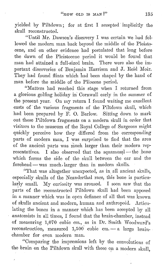yielded by Piltdown; for at first I accepted implicitly the skull reconstructed.

"Until Mr. Dawson's discovery I was certain we had followed the modern man back beyond the middle of the Pleistocene, and on other evidence had postulated that long before the dawn of the Pleistocene period it would be found that man had attained a full-sized brain. There were also the imman had attained a full-sized brain. portant discoveries of Benjamin Harrison and J. Reid Moir. They had found flints which had been shaped by the hand of man before the middle of the Pliocene period.

"Matters had reached this stage when I returned from a glorious golfing holiday in' Cornwall early in the summer of the present year. On my return I found waiting me excellent casts of the various fragments of the Piltdown skull, which had been prepared by F. 0. Barlow. Sitting down to mark out these Piltdown fragments on a modern skull in order that visitors to the museum of the Royal College of Surgeons might quickly perceive how they differed from the corresponding parts of modern man, I was surprised to find that the area of the ancient parts was much larger than their modern representatives. I also observed that the squamosal - the ,bone which forms the side of the skull between the ear and the  $forehead - was much larger than in modern skills.$ 

"That was altogether unexpected, as in all ancient skulls, especially skulls of the Neanderthal race, this bone is particularly small. My curiosity was aroused. I soon saw that the parts of the reconstructed Piltdown skull had been apposed in a manner which was in open defiance of all that was known of skulls ancient and modern, human and anthropoid. Articulating the bones in a manner which has been accepted by all anatomists in all times, I found that the brain-chamber, instead of measuring 1,070 cubic cm., as in Dr. Smith Woodward's reconstruction, measured  $1,500$  cubic cm. - a large brainchamber for even modern man.

"Comparing the impressions left by the convolutions of the brain on the Piltdown skull with those on a modern skull.